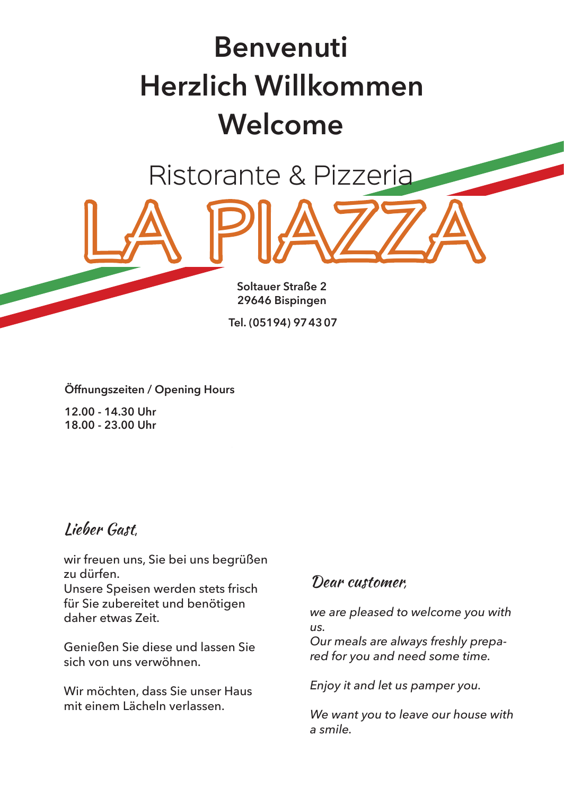# **Herzlich Willkommen Welcome Benvenuti**

Ristorante & Pizzeria

LA PIAZZA

**Soltauer Straße 2 29646 Bispingen**

**Tel. (05194) 974307**

**Öffnungszeiten / Opening Hours**

**12.00 - 14.30 Uhr 18.00 - 23.00 Uhr** 

## Lieber Gast,

wir freuen uns, Sie bei uns begrüßen zu dürfen.

Unsere Speisen werden stets frisch für Sie zubereitet und benötigen daher etwas Zeit.

Genießen Sie diese und lassen Sie sich von uns verwöhnen.

Wir möchten, dass Sie unser Haus mit einem Lächeln verlassen.

## Dear customer*,*

*we are pleased to welcome you with us.*

*Our meals are always freshly prepared for you and need some time.*

*Enjoy it and let us pamper you.* 

*We want you to leave our house with a smile.*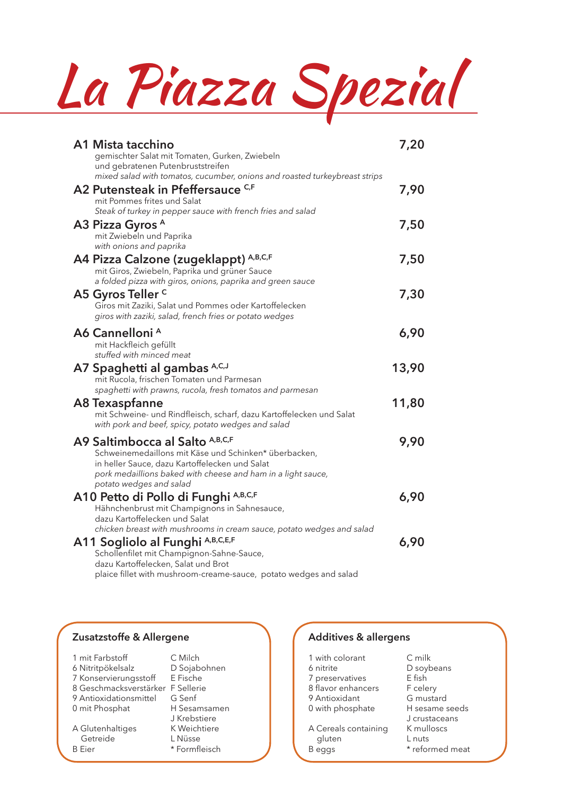La Piazza Spezial

| A1 Mista tacchino<br>gemischter Salat mit Tomaten, Gurken, Zwiebeln<br>und gebratenen Putenbruststreifen                                                                                                                                                           | 7,20  |
|--------------------------------------------------------------------------------------------------------------------------------------------------------------------------------------------------------------------------------------------------------------------|-------|
| mixed salad with tomatos, cucumber, onions and roasted turkeybreast strips<br>A2 Putensteak in Pfeffersauce C.F<br>mit Pommes frites und Salat<br>Steak of turkey in pepper sauce with french fries and salad                                                      | 7,90  |
| A3 Pizza Gyros <sup>A</sup><br>mit Zwiebeln und Paprika<br>with onions and paprika                                                                                                                                                                                 | 7,50  |
| A4 Pizza Calzone (zugeklappt) A,B,C,F<br>mit Giros, Zwiebeln, Paprika und grüner Sauce<br>a folded pizza with giros, onions, paprika and green sauce                                                                                                               | 7,50  |
| A5 Gyros Teller <sup>c</sup><br>Giros mit Zaziki, Salat und Pommes oder Kartoffelecken<br>giros with zaziki, salad, french fries or potato wedges                                                                                                                  | 7,30  |
| A6 Cannelloni <sup>A</sup><br>mit Hackfleich gefüllt<br>stuffed with minced meat                                                                                                                                                                                   | 6,90  |
| A7 Spaghetti al gambas A,C,J<br>mit Rucola, frischen Tomaten und Parmesan<br>spaghetti with prawns, rucola, fresh tomatos and parmesan                                                                                                                             | 13,90 |
| <b>A8 Texaspfanne</b><br>mit Schweine- und Rindfleisch, scharf, dazu Kartoffelecken und Salat<br>with pork and beef, spicy, potato wedges and salad                                                                                                                | 11,80 |
| A9 Saltimbocca al Salto A,B,C,F<br>Schweinemedaillons mit Käse und Schinken* überbacken,<br>in heller Sauce, dazu Kartoffelecken und Salat<br>pork medaillions baked with cheese and ham in a light sauce,<br>potato wedges and salad                              | 9,90  |
| A10 Petto di Pollo di Funghi A,B,C,F<br>Hähnchenbrust mit Champignons in Sahnesauce,<br>dazu Kartoffelecken und Salat                                                                                                                                              | 6,90  |
| chicken breast with mushrooms in cream sauce, potato wedges and salad<br>A11 Sogliolo al Funghi A,B,C,E,F<br>Schollenfilet mit Champignon-Sahne-Sauce,<br>dazu Kartoffelecken, Salat und Brot<br>plaice fillet with mushroom-creame-sauce, potato wedges and salad | 6,90  |

#### **Zusatzstoffe & Allergene**

| 1 mit Farbstoff        | C Milch           |
|------------------------|-------------------|
|                        |                   |
| 6 Nitritpökelsalz      | D Sojabohnen      |
| 7 Konservierungsstoff  | E Fische          |
| 8 Geschmacksverstärker | <b>F</b> Sellerie |
| 9 Antioxidationsmittel | G Senf            |
| 0 mit Phosphat         | H Sesamsamen      |
|                        | J Krebstiere      |
| A Glutenhaltiges       | K Weichtiere      |
| Getreide               | L Nüsse           |
| B Fier                 | * Formfleisch     |

### **Additives & allergens**

|  | 1 with colorant |  |
|--|-----------------|--|
|  |                 |  |

- 6 nitrite
- 7 preservatives 8 flavor enhancers
- 9 Antioxidant
- 
- 0 with phosphate
- A Cereals containing gluten
- B eggs
- C milk D soybeans E fish F celery G mustard H sesame seeds J crustaceans K mulloscs L nuts \* reformed meat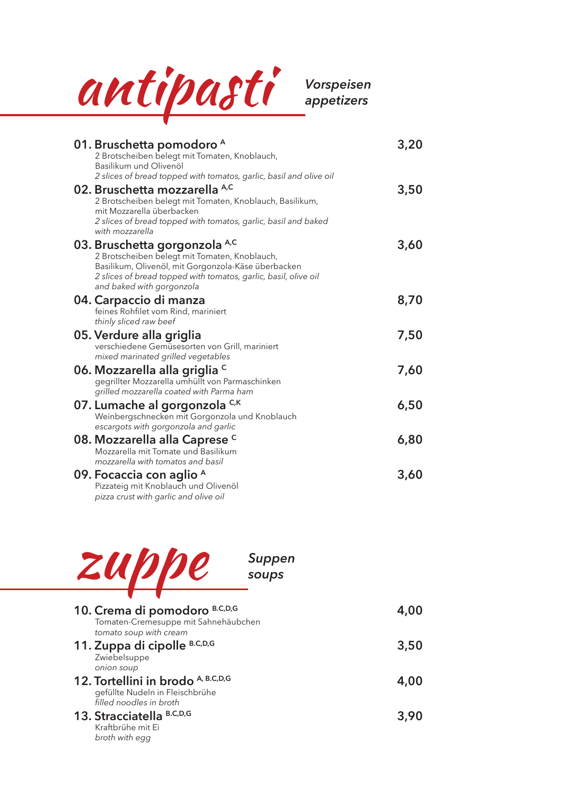

*appetizers*

| 01. Bruschetta pomodoro <sup>A</sup><br>2 Brotscheiben belegt mit Tomaten, Knoblauch,                                                                                                                                                                                                         | 3,20 |
|-----------------------------------------------------------------------------------------------------------------------------------------------------------------------------------------------------------------------------------------------------------------------------------------------|------|
| Basilikum und Olivenöl<br>2 slices of bread topped with tomatos, garlic, basil and olive oil<br>02. Bruschetta mozzarella A,C<br>2 Brotscheiben belegt mit Tomaten, Knoblauch, Basilikum,<br>mit Mozzarella überbacken                                                                        | 3,50 |
| 2 slices of bread topped with tomatos, garlic, basil and baked<br>with mozzarella<br>03. Bruschetta gorgonzola A,C<br>2 Brotscheiben belegt mit Tomaten, Knoblauch,<br>Basilikum, Olivenöl, mit Gorgonzola-Käse überbacken<br>2 slices of bread topped with tomatos, garlic, basil, olive oil | 3,60 |
| and baked with gorgonzola<br>04. Carpaccio di manza<br>feines Rohfilet vom Rind, mariniert<br>thinly sliced raw beef                                                                                                                                                                          | 8,70 |
| 05. Verdure alla griglia<br>verschiedene Gemüsesorten von Grill, mariniert<br>mixed marinated grilled vegetables                                                                                                                                                                              | 7,50 |
| 06. Mozzarella alla griglia c<br>gegrillter Mozzarella umhüllt von Parmaschinken<br>grilled mozzarella coated with Parma ham                                                                                                                                                                  | 7,60 |
| 07. Lumache al gorgonzola C,K<br>Weinbergschnecken mit Gorgonzola und Knoblauch<br>escargots with gorgonzola and garlic                                                                                                                                                                       | 6,50 |
| 08. Mozzarella alla Caprese <sup>c</sup><br>Mozzarella mit Tomate und Basilikum<br>mozzarella with tomatos and basil                                                                                                                                                                          | 6,80 |
| 09. Focaccia con aglio <sup>A</sup><br>Pizzateig mit Knoblauch und Olivenöl<br>pizza crust with garlic and olive oil                                                                                                                                                                          | 3,60 |



*soups*

| 10. Crema di pomodoro B.C,D,G<br>Tomaten-Cremesuppe mit Sahnehäubchen<br>tomato soup with cream  | 4,00 |
|--------------------------------------------------------------------------------------------------|------|
| 11. Zuppa di cipolle B.C,D,G<br>Zwiebelsuppe<br>onion soup                                       | 3,50 |
| 12. Tortellini in brodo A, B.C,D,G<br>gefüllte Nudeln in Fleischbrühe<br>filled noodles in broth | 4,00 |
| 13. Stracciatella B.C.D.G<br>Kraftbrühe mit Ei<br>broth with egg                                 | 3,90 |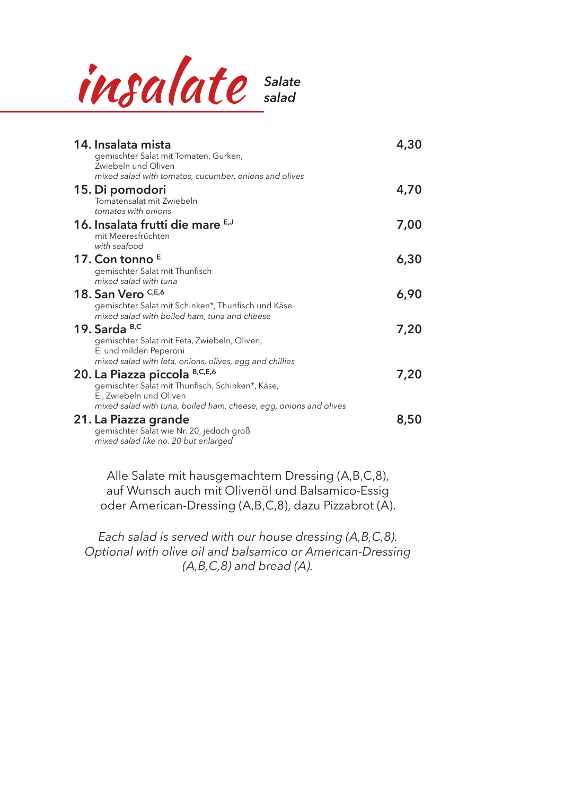

| 14. Insalata mista<br>gemischter Salat mit Tomaten, Gurken,<br>Zwiebeln und Oliven<br>mixed salad with tomatos, cucumber, onions and olives                                   | 4,30 |
|-------------------------------------------------------------------------------------------------------------------------------------------------------------------------------|------|
| 15. Di pomodori<br>Tomatensalat mit Zwiebeln<br>tomatos with onions                                                                                                           | 4,70 |
| 16. Insalata frutti die mare E,J<br>mit Meeresfrüchten<br>with seafood                                                                                                        | 7,00 |
| 17. Con tonno $E$<br>gemischter Salat mit Thunfisch<br>mixed salad with tuna                                                                                                  | 6,30 |
| 18. San Vero C,E,6<br>gemischter Salat mit Schinken*, Thunfisch und Käse<br>mixed salad with boiled ham, tuna and cheese                                                      | 6,90 |
| 19. Sarda B,C<br>gemischter Salat mit Feta, Zwiebeln, Oliven,<br>Ei und milden Peperoni                                                                                       | 7,20 |
| mixed salad with feta, onions, olives, egg and chillies<br>20. La Piazza piccola B,C,E,6<br>gemischter Salat mit Thunfisch, Schinken*, Käse,<br>Ei, Zwiebeln und Oliven       | 7,20 |
| mixed salad with tuna, boiled ham, cheese, egg, onions and olives<br>21. La Piazza grande<br>gemischter Salat wie Nr. 20, jedoch groß<br>mixed salad like no. 20 but enlarged | 8,50 |

Alle Salate mit hausgemachtem Dressing (A,B,C,8), auf Wunsch auch mit Olivenöl und Balsamico-Essig oder American-Dressing (A,B,C,8), dazu Pizzabrot (A).

*Each salad is served with our house dressing (A,B,C,8). Optional with olive oil and balsamico or American-Dressing (A,B,C,8) and bread (A).*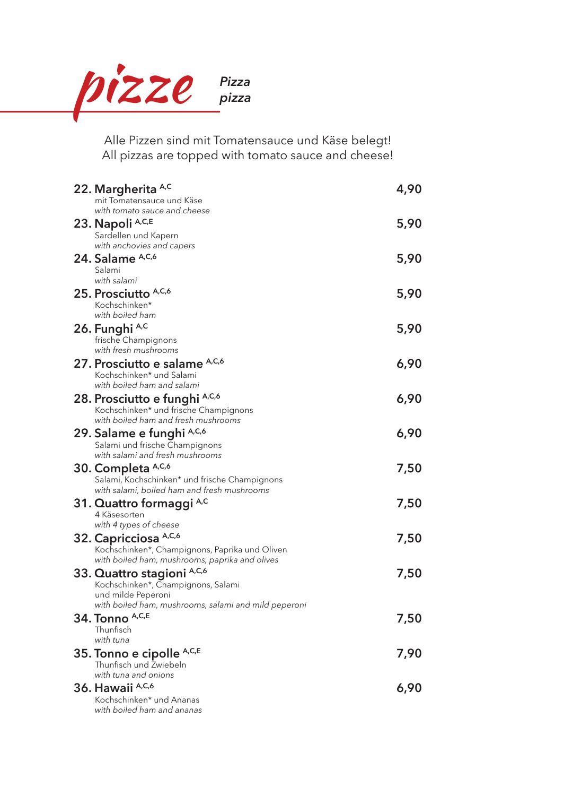

Alle Pizzen sind mit Tomatensauce und Käse belegt! All pizzas are topped with tomato sauce and cheese!

| 22. Margherita A,C                                                                               | 4,90 |
|--------------------------------------------------------------------------------------------------|------|
| mit Tomatensauce und Käse                                                                        |      |
| with tomato sauce and cheese<br>23. Napoli A,C,E                                                 | 5,90 |
| Sardellen und Kapern                                                                             |      |
| with anchovies and capers                                                                        |      |
| 24. Salame A,C,6                                                                                 | 5,90 |
| Salami                                                                                           |      |
| with salami                                                                                      |      |
| 25. Prosciutto A,C,6<br>Kochschinken*                                                            | 5,90 |
| with boiled ham                                                                                  |      |
| 26. Funghi A,C                                                                                   | 5,90 |
| frische Champignons                                                                              |      |
| with fresh mushrooms                                                                             |      |
| 27. Prosciutto e salame A,C,6                                                                    | 6,90 |
| Kochschinken* und Salami<br>with boiled ham and salami                                           |      |
| 28. Prosciutto e funghi A,C,6                                                                    | 6,90 |
| Kochschinken* und frische Champignons                                                            |      |
| with boiled ham and fresh mushrooms                                                              |      |
| 29. Salame e funghi A,C,6                                                                        | 6,90 |
| Salami und frische Champignons                                                                   |      |
| with salami and fresh mushrooms                                                                  |      |
| 30. Completa A,C,6<br>Salami, Kochschinken* und frische Champignons                              | 7,50 |
| with salami, boiled ham and fresh mushrooms                                                      |      |
| 31. Quattro formaggi A,C                                                                         | 7,50 |
| 4 Käsesorten                                                                                     |      |
| with 4 types of cheese                                                                           |      |
| 32. Capricciosa A,C,6                                                                            | 7,50 |
| Kochschinken*, Champignons, Paprika und Oliven<br>with boiled ham, mushrooms, paprika and olives |      |
| 33. Quattro stagioni A,C,6                                                                       | 7,50 |
| Kochschinken*, Champignons, Salami                                                               |      |
| und milde Peperoni                                                                               |      |
| with boiled ham, mushrooms, salami and mild peperoni                                             |      |
| 34. Tonno A,C,E                                                                                  | 7,50 |
| Thunfisch<br>with tuna                                                                           |      |
| 35. Tonno e cipolle A,C,E                                                                        | 7,90 |
| Thunfisch und Zwiebeln                                                                           |      |
| with tuna and onions                                                                             |      |
| 36. Hawaii A,C,6                                                                                 | 6,90 |
| Kochschinken* und Ananas                                                                         |      |
| with boiled ham and ananas                                                                       |      |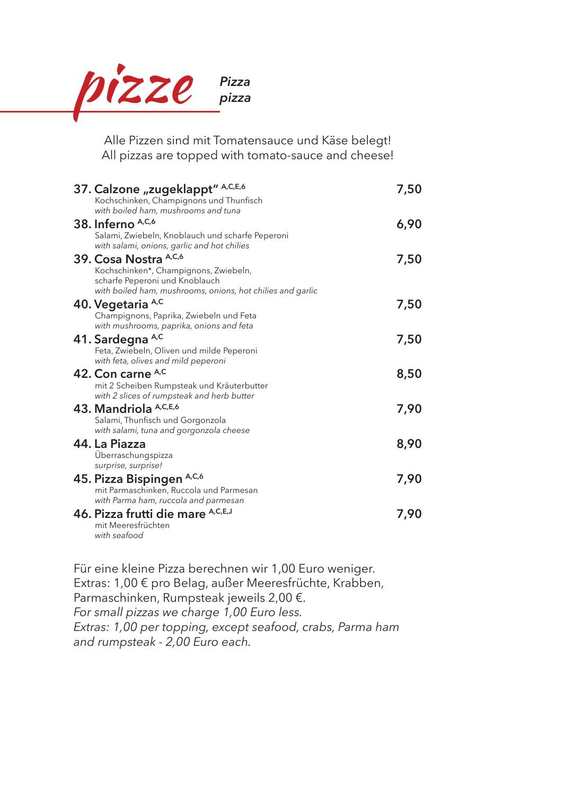

Alle Pizzen sind mit Tomatensauce und Käse belegt! All pizzas are topped with tomato-sauce and cheese!

| 37. Calzone "zugeklappt" A,C,E,6<br>Kochschinken, Champignons und Thunfisch<br>with boiled ham, mushrooms and tuna                                             | 7,50 |
|----------------------------------------------------------------------------------------------------------------------------------------------------------------|------|
| 38. Inferno A,C,6<br>Salami, Zwiebeln, Knoblauch und scharfe Peperoni<br>with salami, onions, garlic and hot chilies                                           | 6,90 |
| 39. Cosa Nostra A,C,6<br>Kochschinken*, Champignons, Zwiebeln,<br>scharfe Peperoni und Knoblauch<br>with boiled ham, mushrooms, onions, hot chilies and garlic | 7,50 |
| 40. Vegetaria A,C<br>Champignons, Paprika, Zwiebeln und Feta<br>with mushrooms, paprika, onions and feta                                                       | 7,50 |
| 41. Sardegna A,C<br>Feta, Zwiebeln, Oliven und milde Peperoni<br>with feta, olives and mild peperoni                                                           | 7,50 |
| 42. Con carne A,C<br>mit 2 Scheiben Rumpsteak und Kräuterbutter<br>with 2 slices of rumpsteak and herb butter                                                  | 8,50 |
| 43. Mandriola A,C,E,6<br>Salami, Thunfisch und Gorgonzola<br>with salami, tuna and gorgonzola cheese                                                           | 7,90 |
| 44. La Piazza<br>Überraschungspizza                                                                                                                            | 8,90 |
| surprise, surprise!<br>45. Pizza Bispingen A,C,6<br>mit Parmaschinken, Ruccola und Parmesan                                                                    | 7,90 |
| with Parma ham, ruccola and parmesan<br>46. Pizza frutti die mare A,C,E,J<br>mit Meeresfrüchten<br>with seafood                                                | 7,90 |

Für eine kleine Pizza berechnen wir 1,00 Euro weniger. Extras: 1,00 € pro Belag, außer Meeresfrüchte, Krabben, Parmaschinken, Rumpsteak jeweils 2,00 €. *For small pizzas we charge 1,00 Euro less. Extras: 1,00 per topping, except seafood, crabs, Parma ham and rumpsteak - 2,00 Euro each.*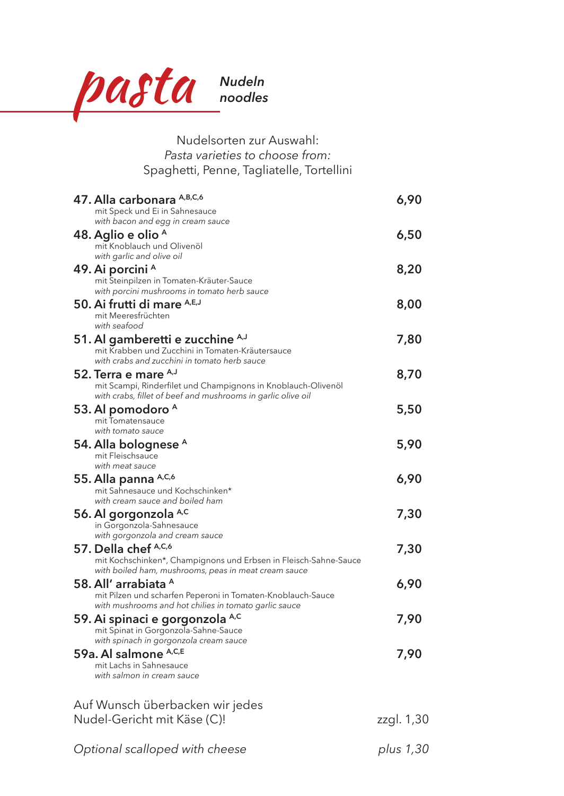

| Nudelsorten zur Auswahl:                                                                                                      |            |
|-------------------------------------------------------------------------------------------------------------------------------|------------|
| Pasta varieties to choose from:                                                                                               |            |
| Spaghetti, Penne, Tagliatelle, Tortellini                                                                                     |            |
| 47. Alla carbonara A,B,C,6                                                                                                    | 6,90       |
| mit Speck und Ei in Sahnesauce                                                                                                |            |
| with bacon and egg in cream sauce                                                                                             |            |
| 48. Aglio e olio A<br>mit Knoblauch und Olivenöl                                                                              | 6,50       |
| with garlic and olive oil                                                                                                     |            |
| 49. Ai porcini <sup>A</sup>                                                                                                   | 8,20       |
| mit Steinpilzen in Tomaten-Kräuter-Sauce                                                                                      |            |
| with porcini mushrooms in tomato herb sauce                                                                                   |            |
| 50. Ai frutti di mare A,E,J<br>mit Meeresfrüchten                                                                             | 8,00       |
| with seafood                                                                                                                  |            |
| 51. Al gamberetti e zucchine A,J                                                                                              | 7,80       |
| mit Krabben und Zucchini in Tomaten-Kräutersauce                                                                              |            |
| with crabs and zucchini in tomato herb sauce                                                                                  |            |
| 52. Terra e mare A,J                                                                                                          | 8,70       |
| mit Scampi, Rinderfilet und Champignons in Knoblauch-Olivenöl<br>with crabs, fillet of beef and mushrooms in garlic olive oil |            |
| 53. Al pomodoro <sup>A</sup>                                                                                                  | 5,50       |
| mit Tomatensauce                                                                                                              |            |
| with tomato sauce                                                                                                             |            |
| 54. Alla bolognese <sup>A</sup>                                                                                               | 5,90       |
| mit Fleischsauce<br>with meat sauce                                                                                           |            |
| 55. Alla panna A,C,6                                                                                                          | 6,90       |
| mit Sahnesauce und Kochschinken*                                                                                              |            |
| with cream sauce and boiled ham                                                                                               |            |
| 56. Al gorgonzola A,C                                                                                                         | 7,30       |
| in Gorgonzola-Sahnesauce<br>with gorgonzola and cream sauce                                                                   |            |
| 57. Della chef A,C,6                                                                                                          | 7,30       |
| mit Kochschinken*, Champignons und Erbsen in Fleisch-Sahne-Sauce                                                              |            |
| with boiled ham, mushrooms, peas in meat cream sauce                                                                          |            |
| 58. All' arrabiata <sup>A</sup>                                                                                               | 6,90       |
| mit Pilzen und scharfen Peperoni in Tomaten-Knoblauch-Sauce<br>with mushrooms and hot chilies in tomato garlic sauce          |            |
| 59. Ai spinaci e gorgonzola <sup>A,C</sup>                                                                                    | 7,90       |
| mit Spinat in Gorgonzola-Sahne-Sauce                                                                                          |            |
| with spinach in gorgonzola cream sauce                                                                                        |            |
| 59a. Al salmone A,C,E                                                                                                         | 7,90       |
| mit Lachs in Sahnesauce<br>with salmon in cream sauce                                                                         |            |
|                                                                                                                               |            |
|                                                                                                                               |            |
| Auf Wunsch überbacken wir jedes                                                                                               |            |
| Nudel-Gericht mit Käse (C)!                                                                                                   | zzgl. 1,30 |
|                                                                                                                               |            |

| Optional scalloped with cheese |  |
|--------------------------------|--|
|--------------------------------|--|

*Optional scalloped with cheese plus 1,30*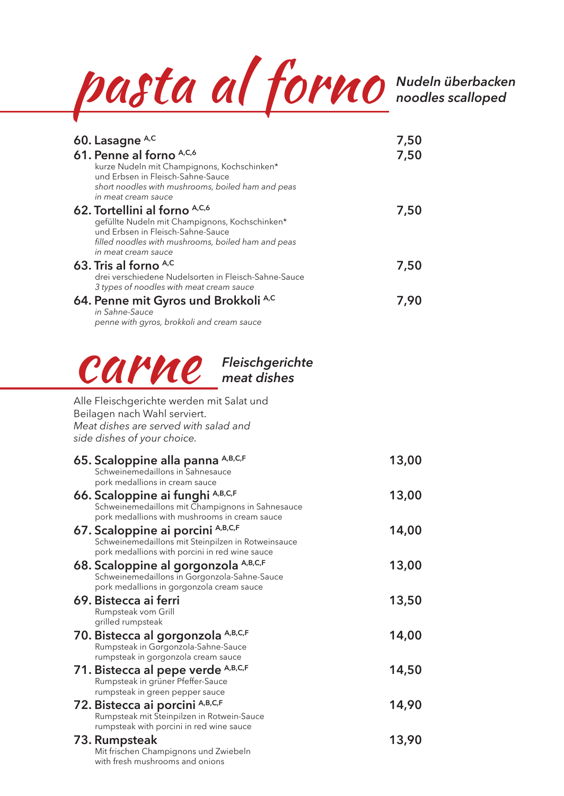

*noodles scalloped*

| 60. Lasagne A,C                                                                                  | 7,50  |
|--------------------------------------------------------------------------------------------------|-------|
| 61. Penne al forno A,C,6<br>kurze Nudeln mit Champignons, Kochschinken*                          | 7,50  |
| und Erbsen in Fleisch-Sahne-Sauce                                                                |       |
| short noodles with mushrooms, boiled ham and peas<br>in meat cream sauce                         |       |
| 62. Tortellini al forno A,C,6                                                                    | 7,50  |
| gefüllte Nudeln mit Champignons, Kochschinken*<br>und Erbsen in Fleisch-Sahne-Sauce              |       |
| filled noodles with mushrooms, boiled ham and peas<br>in meat cream sauce                        |       |
| 63. Tris al forno A,C                                                                            | 7,50  |
| drei verschiedene Nudelsorten in Fleisch-Sahne-Sauce<br>3 types of noodles with meat cream sauce |       |
| 64. Penne mit Gyros und Brokkoli <sup>A,C</sup>                                                  | 7,90  |
| in Sahne-Sauce<br>penne with gyros, brokkoli and cream sauce                                     |       |
|                                                                                                  |       |
|                                                                                                  |       |
| <b>CAPHE</b> Fleischgerichte                                                                     |       |
|                                                                                                  |       |
| Alle Fleischgerichte werden mit Salat und                                                        |       |
| Beilagen nach Wahl serviert.<br>Meat dishes are served with salad and                            |       |
| side dishes of your choice.                                                                      |       |
|                                                                                                  |       |
|                                                                                                  |       |
| 65. Scaloppine alla panna A,B,C,F<br>Schweinemedaillons in Sahnesauce                            | 13,00 |
| pork medallions in cream sauce                                                                   |       |
| 66. Scaloppine ai funghi A,B,C,F<br>Schweinemedaillons mit Champignons in Sahnesauce             | 13,00 |
| pork medallions with mushrooms in cream sauce                                                    |       |
| 67. Scaloppine ai porcini A, B, C, F<br>Schweinemedaillons mit Steinpilzen in Rotweinsauce       | 14,00 |
| pork medallions with porcini in red wine sauce                                                   |       |
| 68. Scaloppine al gorgonzola A,B,C,F<br>Schweinemedaillons in Gorgonzola-Sahne-Sauce             | 13,00 |
| pork medallions in gorgonzola cream sauce<br>69. Bistecca ai ferri                               | 13,50 |
| Rumpsteak vom Grill                                                                              |       |
| grilled rumpsteak                                                                                | 14,00 |
| 70. Bistecca al gorgonzola A,B,C,F<br>Rumpsteak in Gorgonzola-Sahne-Sauce                        |       |
| rumpsteak in gorgonzola cream sauce                                                              | 14,50 |
| 71. Bistecca al pepe verde A,B,C,F<br>Rumpsteak in grüner Pfeffer-Sauce                          |       |
| rumpsteak in green pepper sauce                                                                  | 14,90 |
| 72. Bistecca ai porcini A,B,C,F<br>Rumpsteak mit Steinpilzen in Rotwein-Sauce                    |       |
| rumpsteak with porcini in red wine sauce<br>73. Rumpsteak                                        | 13,90 |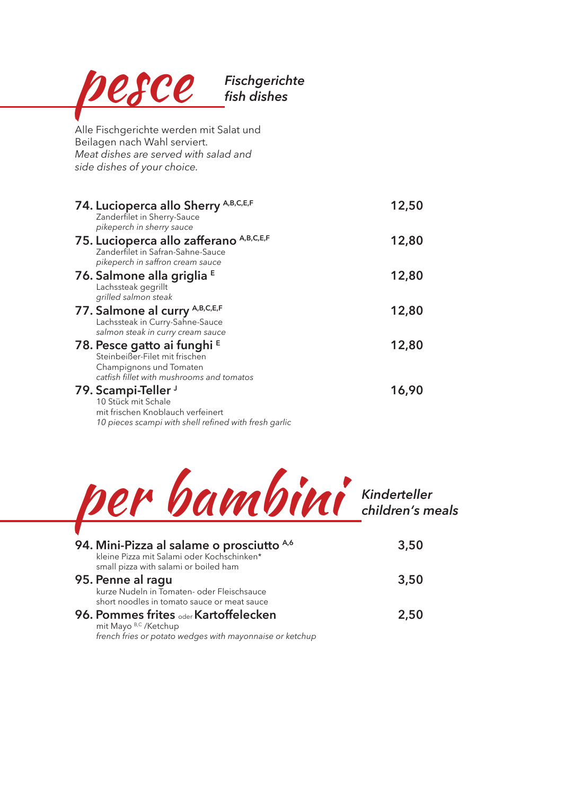| <b>Fischgerichte</b><br>esce<br>fish dishes                                                                                                                                           |       |
|---------------------------------------------------------------------------------------------------------------------------------------------------------------------------------------|-------|
| Alle Fischgerichte werden mit Salat und<br>Beilagen nach Wahl serviert.<br>Meat dishes are served with salad and<br>side dishes of your choice.                                       |       |
| 74. Lucioperca allo Sherry A,B,C,E,F<br>Zanderfilet in Sherry-Sauce                                                                                                                   | 12,50 |
| pikeperch in sherry sauce<br>75. Lucioperca allo zafferano A,B,C,E,F<br>Zanderfilet in Safran-Sahne-Sauce<br>pikeperch in saffron cream sauce                                         | 12,80 |
| 76. Salmone alla griglia E<br>Lachssteak gegrillt<br>grilled salmon steak                                                                                                             | 12,80 |
| 77. Salmone al curry A,B,C,E,F<br>Lachssteak in Curry-Sahne-Sauce<br>salmon steak in curry cream sauce                                                                                | 12,80 |
| 78. Pesce gatto ai funghi E<br>Steinbeißer-Filet mit frischen<br>Champignons und Tomaten                                                                                              | 12,80 |
| catfish fillet with mushrooms and tomatos<br>79. Scampi-Teller J<br>10 Stück mit Schale<br>mit frischen Knoblauch verfeinert<br>10 pieces scampi with shell refined with fresh garlic | 16,90 |



short noodles in tomato sauce or meat sauce **96. Pommes frites** oder **Kartoffelecken 2,50** mit Mayo B,C /Ketchup

*french fries or potato wedges with mayonnaise or ketchup*